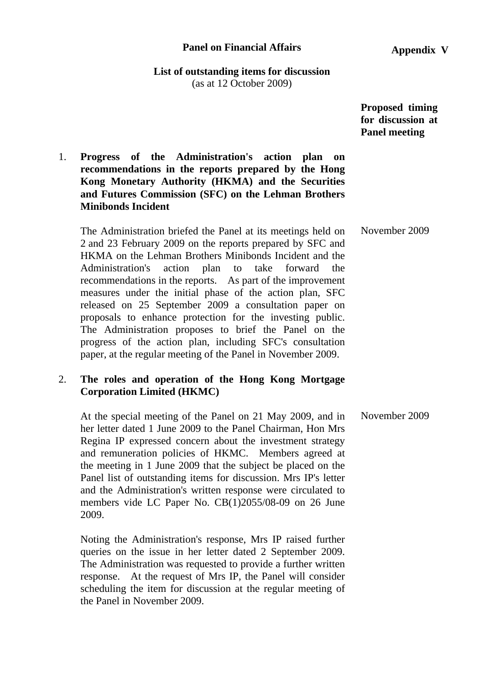#### **Panel on Financial Affairs**

**Appendix V**

# **List of outstanding items for discussion**

(as at 12 October 2009)

 **Proposed timing for discussion at Panel meeting** 

# 1. **Progress of the Administration's action plan on recommendations in the reports prepared by the Hong Kong Monetary Authority (HKMA) and the Securities and Futures Commission (SFC) on the Lehman Brothers Minibonds Incident**

The Administration briefed the Panel at its meetings held on 2 and 23 February 2009 on the reports prepared by SFC and HKMA on the Lehman Brothers Minibonds Incident and the Administration's action plan to take forward the recommendations in the reports. As part of the improvement measures under the initial phase of the action plan, SFC released on 25 September 2009 a consultation paper on proposals to enhance protection for the investing public. The Administration proposes to brief the Panel on the progress of the action plan, including SFC's consultation paper, at the regular meeting of the Panel in November 2009. November 2009

# 2. **The roles and operation of the Hong Kong Mortgage Corporation Limited (HKMC)**

At the special meeting of the Panel on 21 May 2009, and in her letter dated 1 June 2009 to the Panel Chairman, Hon Mrs Regina IP expressed concern about the investment strategy and remuneration policies of HKMC. Members agreed at the meeting in 1 June 2009 that the subject be placed on the Panel list of outstanding items for discussion. Mrs IP's letter and the Administration's written response were circulated to members vide LC Paper No. CB(1)2055/08-09 on 26 June 2009. November 2009

Noting the Administration's response, Mrs IP raised further queries on the issue in her letter dated 2 September 2009. The Administration was requested to provide a further written response. At the request of Mrs IP, the Panel will consider scheduling the item for discussion at the regular meeting of the Panel in November 2009.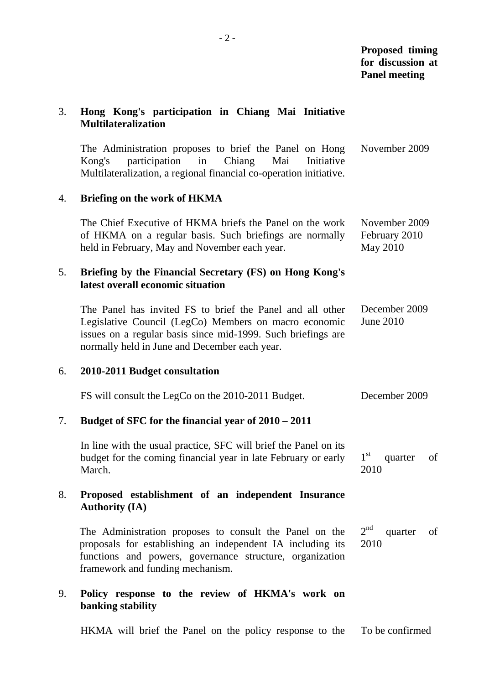#### 3. **Hong Kong's participation in Chiang Mai Initiative Multilateralization**

The Administration proposes to brief the Panel on Hong Kong's participation in Chiang Mai Initiative Multilateralization, a regional financial co-operation initiative. November 2009

# 4. **Briefing on the work of HKMA**

The Chief Executive of HKMA briefs the Panel on the work of HKMA on a regular basis. Such briefings are normally held in February, May and November each year. November 2009 February 2010 May 2010

### 5. **Briefing by the Financial Secretary (FS) on Hong Kong's latest overall economic situation**

The Panel has invited FS to brief the Panel and all other Legislative Council (LegCo) Members on macro economic issues on a regular basis since mid-1999. Such briefings are normally held in June and December each year. December 2009 June 2010

### 6. **2010-2011 Budget consultation**

| FS will consult the LegCo on the 2010-2011 Budget.                                                                                           | December 2009                   |    |
|----------------------------------------------------------------------------------------------------------------------------------------------|---------------------------------|----|
| Budget of SFC for the financial year of 2010 – 2011                                                                                          |                                 |    |
| In line with the usual practice, SFC will brief the Panel on its<br>budget for the coming financial year in late February or early<br>March. | $1^{\rm st}$<br>quarter<br>2010 | of |

# 8. **Proposed establishment of an independent Insurance Authority (IA)**

The Administration proposes to consult the Panel on the proposals for establishing an independent IA including its functions and powers, governance structure, organization framework and funding mechanism.  $2^{nd}$  quarter of 2010

# 9. **Policy response to the review of HKMA's work on banking stability**

HKMA will brief the Panel on the policy response to the To be confirmed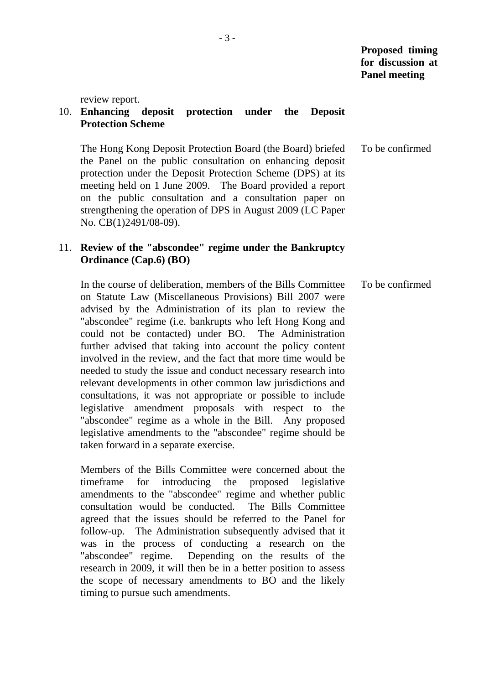review report.

#### 10. **Enhancing deposit protection under the Deposit Protection Scheme**

The Hong Kong Deposit Protection Board (the Board) briefed the Panel on the public consultation on enhancing deposit protection under the Deposit Protection Scheme (DPS) at its meeting held on 1 June 2009. The Board provided a report on the public consultation and a consultation paper on strengthening the operation of DPS in August 2009 (LC Paper No. CB(1)2491/08-09). To be confirmed

### 11. **Review of the "abscondee" regime under the Bankruptcy Ordinance (Cap.6) (BO)**

In the course of deliberation, members of the Bills Committee on Statute Law (Miscellaneous Provisions) Bill 2007 were advised by the Administration of its plan to review the "abscondee" regime (i.e. bankrupts who left Hong Kong and could not be contacted) under BO. The Administration further advised that taking into account the policy content involved in the review, and the fact that more time would be needed to study the issue and conduct necessary research into relevant developments in other common law jurisdictions and consultations, it was not appropriate or possible to include legislative amendment proposals with respect to the "abscondee" regime as a whole in the Bill. Any proposed legislative amendments to the "abscondee" regime should be taken forward in a separate exercise. To be confirmed

Members of the Bills Committee were concerned about the timeframe for introducing the proposed legislative amendments to the "abscondee" regime and whether public consultation would be conducted. The Bills Committee agreed that the issues should be referred to the Panel for follow-up. The Administration subsequently advised that it was in the process of conducting a research on the "abscondee" regime. Depending on the results of the research in 2009, it will then be in a better position to assess the scope of necessary amendments to BO and the likely timing to pursue such amendments.